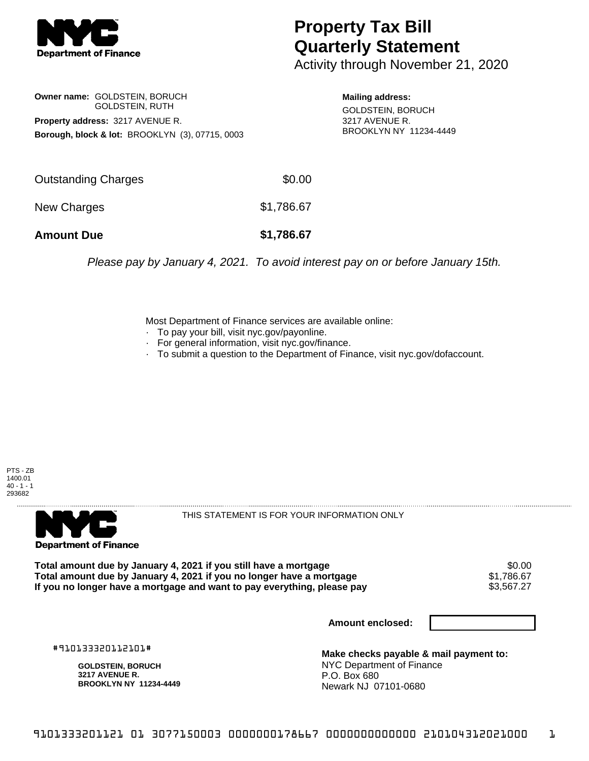

## **Property Tax Bill Quarterly Statement**

Activity through November 21, 2020

**Owner name:** GOLDSTEIN, BORUCH GOLDSTEIN, RUTH **Property address:** 3217 AVENUE R. **Borough, block & lot:** BROOKLYN (3), 07715, 0003

**Mailing address:** GOLDSTEIN, BORUCH 3217 AVENUE R. BROOKLYN NY 11234-4449

| <b>Amount Due</b>   | \$1,786.67 |
|---------------------|------------|
| New Charges         | \$1,786.67 |
| Outstanding Charges | \$0.00     |

Please pay by January 4, 2021. To avoid interest pay on or before January 15th.

Most Department of Finance services are available online:

- · To pay your bill, visit nyc.gov/payonline.
- For general information, visit nyc.gov/finance.
- · To submit a question to the Department of Finance, visit nyc.gov/dofaccount.





THIS STATEMENT IS FOR YOUR INFORMATION ONLY

Total amount due by January 4, 2021 if you still have a mortgage \$0.00<br>Total amount due by January 4, 2021 if you no longer have a mortgage \$1.786.67 **Total amount due by January 4, 2021 if you no longer have a mortgage**  $$1,786.67$$ **<br>If you no longer have a mortgage and want to pay everything, please pay**  $$3,567.27$$ If you no longer have a mortgage and want to pay everything, please pay

**Amount enclosed:**

#910133320112101#

**GOLDSTEIN, BORUCH 3217 AVENUE R. BROOKLYN NY 11234-4449**

**Make checks payable & mail payment to:** NYC Department of Finance P.O. Box 680 Newark NJ 07101-0680